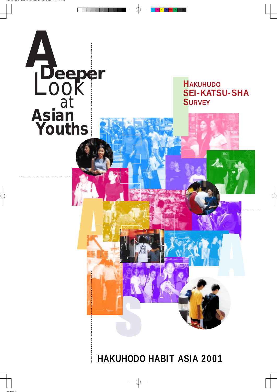

 $\bigoplus$ 



# **HAKUHODO HABIT ASIA 2001**

 $\oplus$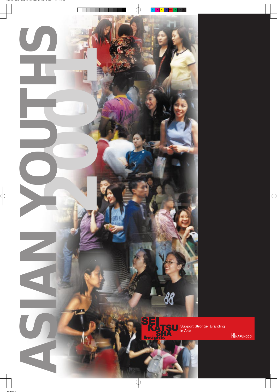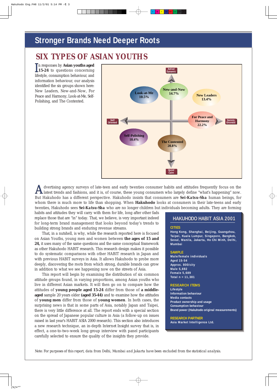## **Stronger Brands Need Deeper Roots**

dvertising agency surveys of late-teen and early twenties consumer habits and attitudes frequently focus on the A dvertising agency surveys of late-teen and early twenties consumer habits and attitudes frequently focus on the latest trends and fashions, and it is, of course, these young consumers who largely define "what's happening But Hakuhodo has a different perspective. Hakuhodo insists that consumers are *Sei-Katsu-Sha* human beings, for whom there is much more to life than shopping. When **Hakuhodo** looks at consumers in their late-teens and early twenties, Hakuhodo sees *Sei-Katsu-Sha* who are no longer children but individuals becoming adults. They are forming

habits and attitudes they will carry with them for life, long after other fads replace those that are "in" today. That, we believe, is very important indeed for long-term brand management that looks beyond today's trends to building strong brands and enduring revenue streams.

That, in a nutshell, is why, while the research reported here is focused on Asian Youths, young men and women between **the ages of 15 and 24,** it uses many of the same questions and the same conceptual framework as other Hakuhodo HABIT research. This research design makes it possible to do systematic comparisons with other HABIT research in Japan and with previous HABIT surveys in Asia. It allows Hakuhodo to probe more deeply, discovering the roots from which strong, durable brands can grow in addition to what we see happening now on the streets of Asia.

This report will begin by examining the distribution of six common attitude groups found, in varying proportions, among Asian youths who live in different Asian markets. It will then go on to compare how the attitudes of **young people aged 15-24** differ from those of **a middleaged** sample 20 years older **(aged 35-44)** and to examine how the attitudes of **young men** differ from those of **young women**. In both cases, the surprising news is that in some parts of Asia, notably Japan and Taipei, there is very little difference at all. The report ends with a special section on the spread of Japanese popular culture in Asia (a follow-up on issues raised in last year's HABIT ASIA 2000 research). This section also introduces a new research technique, an in-depth *Internet Insight* survey that is, in effect, a one-to-two-week long group interview with panel participants carefully selected to ensure the quality of the insights they provide.

*Note: For purposes of this report, data from Delhi, Mumbai and Jakarta have been excluded from the statistical analysis.*

## *SIX TYPES OF ASIAN YOUTHS*

n responses by **Asian youths aged** In responses by **Asian youths aged**<br>**15-24** to questions concerning lifestyle, consumption behaviour, and information behaviour, our analysis identified the six groups shown here: New Leaders, New-and-Now, For Peace and Harmony, Look-at-Me, Self-Polishing, and The Contented.



C M Y CM MY CY CMY K

#### **CITIES**

**Hong Kong, Shanghai, Beijing, Guangzhou, Taipei, Kuala Lumpur, Singapore, Bangkok, Seoul, Manila, Jakarta, Ho Chi Minh, Delhi, Mumbai**

#### **SAMPLE**

**Male/female individuals Aged 15-54 Approx. 800/city Male 5,692 Female 5,689 Total n = 11,381**

#### **HAKUHODO HABIT ASIA 2001 HAKUHODO HABIT ASIA 2001**

#### **RESEARCH ITEMS**

**Lifestyle Information behaviour**

**Media contacts Product ownership and usage Consumption behaviour Brand power (Hakuhodo original measurements)**

**RESEARCH PARTNER Asia Market Intelligence Ltd.**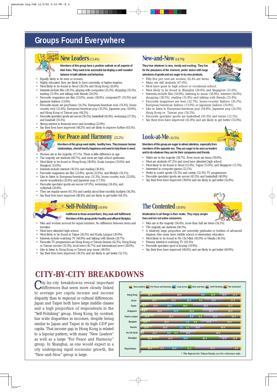



# **Groups Found Everywhere**



# *CITY-BY-CITY BREAKDOWNS*

City-by-city breakdowns reveal important<br>
differences that seem more closely linked differences that seem more closely linked to average per capita income and income Members of this group are eager to attract attention, especially from **members of the opposite sex. They are eager to be seen as leaders and to do whatever they can for their companies and friends.**

disparity than to regional or cultural differences. Japan and Taipei both have large middle classes and a high proportion of respondents in the "Self-Polishing" group. Hong Kong, by contrast, has wide disparities in incomes, despite being similar to Japan and Taipei in its high GDP per capita. That income gap in Hong Kong is related to a bipolar pattern, with many "New Leaders" as well as a large "For Peace and Harmony" group. In Shanghai, as one would expect in a city undergoing rapid economic growth, the "New-and-Now" group is large.

- Males are in the majority (58.7%). Even more are teens (59.6%).
- Most are students (67.2%) and most have attended high school.
- Most likely to be found in Seoul (15.0%), Taipei (15.0%), and Singapore (11.5%).
- Interested in computer games (22.1%).
- Prefer to watch sports (35.3%) and variety (32.3%) TV programmes.
- Favourite spectator sports are soccer (45.5%) and basketball (40.9%).
- Say their lives have improved (39.6%) and are likely to get better (52.8%).



### **The Contented** (20.8%)

## **For Peace and Harmony** (22.2%) **Look-at-Me**(10.5%)

#### **Members of this group want stable, healthy lives. They treasure human relationships, cherish family happiness and want to help those in need.**

- Women are in the majority (57.1%). There is little difference in age.
- 
- The majority are students (60.7%), and most are high school graduates.
- Most likely to be found in Hong Kong (38.8%), Kuala Lumpur (33.0%) and Bangkok (33.0%).
- Interests include internet (30.2%) and reading (30.4%).
- Favourite magazines are film (23.8%), sports (22.6%), and lifestyle (16.1%).
- Like to listen to European/American pop (31.3%), home country rock (22.6%), movie soundtracks (20.4%) and Japanese pop (17.5%).
- Favourite spectator sports are soccer (47.0%), swimming (24.4%), and volleyball (20.8%).
- They are regular savers (61.5%) and careful about their monthly budgets (56.3%).
- Say their lives have improved (48.4%) and are likely to get better (64.3%).
- Fifty-five per cent are women, 62.4% are teens.
- Many are still students (67.0%).
- Most have gone to high school or vocational school.
- Most likely to be found in Shanghai (28.4%) and Singapore (21.6%).
- Interests include film (18.8%), listening to music (50.9%), internet (34.8%), shopping (38.5%), reading (31.8%) and talking with friends (31.8%).
- Favourite magazines are teen (22.7%), home-country fashion (20.3%), European/American fashion (13.0%) or Japanese fashion (10.0%).
- Like to listen to European/American pop (34.8%), Japanese pop (24.5%), Hong Kong or Taiwan pop (54.2%).
- Favourite spectator sports are basketball (43.3%) and tennis (12.1%).
- Say their lives have improved (41.8%) and are likely to get better (53.0%).

### **New Leaders**(13.4%)

- Men are in the majority (56.4%), more than half are teens (54.1%).
- The majority are students (60.5%).
- A relatively large proportion are university graduates or holders of advanced degrees. Also many have middle school or elementary education.
- Most likely to be found in Ho Chi Minh (45.0%) or Manila (36.5%).
- Primary interest is watching TV (63.3%).
- Favourite spectator sport is boxing (10.9%).
- Say their lives have improved (40.6%) and are likely to get better (60.9%).

**Members of this group have a positive outlook on all aspects of their lives. They want to be successful but display a well-rounded balance in both attitude and behaviour.**

- Most have attended high school.
- Most likely to be found in Taipei (26.5%) and Kuala Lumpur (20.9%).
- Interests include watching TV (66.9%) and talking with friends (29.7%).
- Favourite TV programmes are Hong Kong or Taiwan dramas (42.3%), Hong Kong or Taiwan movies (33.3%), local news (45.7%) and international news (28.0%).
- Like to listen to Hong Kong or Taiwan pop music (46.0%).
- Say their lives have improved (38.2%) and are likely to get better (52.1%).
- Equally likely to be men or women.
- Highly educated, they are likely to have university or higher degrees.
- Most likely to be found in Seoul (26.5%) and Hong Kong (20.4%).
- Interests include film (20.3%), playing with computers (25.2%), shopping (35.5%),
- reading (31.9%) and talking with friends (29.2%). • Favourite magazines are film (23.6%), music (28.6%), computer/IT (19.3%) and Japanese fashion (13.6%).
- Favourite music are jazz/fusion (14.3%), European/American rock (19.3%), home country rock (21.6%), European/American pop (35.5%), Japanese pop (18.6%), and Hong Kong or Taiwan pop (44.2%).
- Favourite spectator sports are soccer (50.2%), basketball (42.9%), swimming (27.2%), and baseball (10.3%).
- Strong interest in financial news and investing (22.9%).
- Say their lives have improved (48.2%) and are likely to improve further (63.5%).



**They love whatever is new, trendy and exciting. They live for the pleasures of the moment, prefer stores with large selections of goods and are eager to try new products.**

### **New-and-Now**(14.7%)

**Moderation in all things is their motto. They enjoy simple lives and are not active consumers.**

**Self-Polishing**(18.4%)

**Indifferent to those around them, they seek self-fulfillment.**

**Members of this group prefer healthy and affluent lifestyles.** • Men and women account for equal numbers. No difference between teens and twenties.

> **Hong Kong 20.4 38.8 6.5 12.9 10.0 11.4 New Leaders For Peace and Harmony Look-at-me New-and-Now Self-Polishing The Contented**

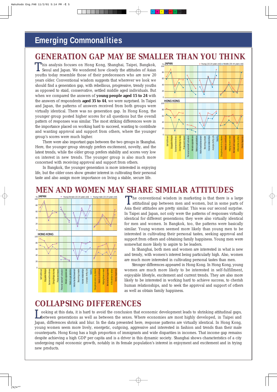## **Emerging Commonalities**

This analysis focuses on Hong Kong, Shanghai, Taipei, Bangkok, Seoul and Japan. We wondered how closely the attitudes of Asian Seoul and Japan. We wondered how closely the attitudes of Asian youths today resemble those of their predecessors who are now 20 years older. Conventional wisdom suggests that wherever we look we should find a generation gap, with rebellious, progressive, trendy youths as opposed to staid, conservative, settled middle aged individuals. But when we compared the answers of **young people aged 15 to 24** with the answers of respondents **aged 35 to 44**, we were surprised. In Taipei and Japan, the patterns of answers received from both groups were virtually identical. There was no generation gap. In Hong Kong, the younger group posted higher scores for *all* questions but the overall pattern of responses was similar. The most striking differences were in the importance placed on working hard to succeed, wanting to contribute and wanting approval and support from others, where the younger group's scores were much higher.

There were also important gaps between the two groups in Shanghai. Here, the younger group strongly prefers excitement, novelty, and the latest trends, while the older group prefers stability and scores very low on interest in new trends. The younger group is also much more concerned with receiving approval and support from others. **MEN AND WOMEN MAY SHARE SIMILAR ATTITUDES** 

In Bangkok, the younger generation is more interested in enjoying life, but the older ones show greater interest in cultivating their personal taste and also assign more importance on living a stable, secure life.

> The conventional wisdom in marketing is that there is a large attitudinal gap between men and women, but in some parts of attitudinal gap between men and women, but in some parts of Asia their attitudes are pretty similar. This was our second surprise. In Taipei and Japan, not only were the patterns of responses virtually identical for different generations; they were also virtually identical for men and women. In Bangkok, too, the patterns were basically similar. Young women seemed more likely than young men to be interested in cultivating their personal tastes, seeking approval and support from others and obtaining family happiness. Young men were somewhat more likely to aspire to be leaders.

## *COLLAPSING DIFFERENCES*

ooking at this data, it is hard to avoid the conclusion that economic development leads to shrinking attitudinal gaps, Looking at this data, it is hard to avoid the conclusion that economic development leads to shrinking attitudinal gaps,<br>Lotween generations as well as between the sexes. Where economies are most highly developed, in Taipei Japan, differences shrink and blur. In the data presented here, response patterns are virtually identical. In Hong Kong, young women seem more lively, energetic, outgoing, aggressive and interested in fashion and trends than their male counterparts. Hong Kong has a high proportion of immigrants and wide disparities in incomes. That income gap remains despite achieving a high GDP per capita and is a driver in this dynamic society. Shanghai shows characteristics of a city undergoing rapid economic growth, notably in its female population's interest in enjoyment and excitement and in trying new products.

## *GENERATION GAP MAY BE SMALLER THAN YOU THINK*

C M Y CM MY CY CMY K

In Shanghai, both men and women are interested in what is new and trendy, with women's interest being particularly high. Also, women are much more interested in cultivating personal tastes than men.

Stronger differences appeared in Hong Kong. In Hong Kong, young women are much more likely to be interested in self-fulfillment, enjoyable lifestyle, excitement and current trends. They are also more likely to be interested in working hard to achieve success, to cherish human relationships, and to seek the approval and support of others as well as obtain family happiness.



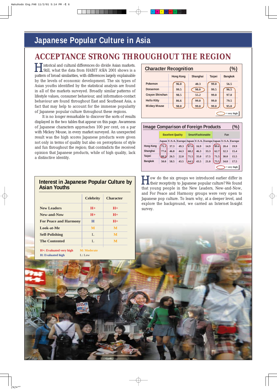# **Japanese Popular Culture in Asia**

istorical and cultural differences do divide Asian markets. Still, what the data from HABIT ASIA 2001 shows is a pattern of broad similarities, with differences largely explainable by the levels of economic development. The six types of Asian youths identified by the statistical analysis are found in *all* of the markets surveyed. Broadly similar patterns of lifestyle values, consumer behaviour, and information-contact behaviour are found throughout East and Southeast Asia, a fact that may help to account for the immense popularity of Japanese popular culture throughout these regions. H

> **T** ow do the six groups we introduced earlier differ in I ow do the six groups we introduced earlier differ in their receptivity to Japanese popular culture? We found that young people in the New Leaders, New-and-Now, and For Peace and Harmony groups were very open to Japanese pop culture. To learn why, at a deeper level, and explore the background, we carried an *Internet Insight* survey.

It is no longer remarkable to discover the sorts of results displayed in the two tables that appear on this page. Awareness of Japanese characters approaches 100 per cent, on a par with Mickey Mouse, in every market surveyed. An unexpected result was the high scores Japanese products were given not only in terms of quality but also on perceptions of style and fun throughout the region; that contradicts the received opinion that Japanese products, while of high quality, lack a distinctive identity.

| <b>Character Recognition</b> |                  |          |               | $\%$           |
|------------------------------|------------------|----------|---------------|----------------|
|                              | <b>Hong Kong</b> | Shanghai | <b>Taipei</b> | <b>Bangkok</b> |
| Pokemon                      | 96.0             | 40.3     | 99.0          | 56.5           |
| Doraemon                     | 99.5             | 98.0     | 99.5          | 96.5           |
| Crayon Shinchan              | 98.5             | 55.2     | 99.0          | 97.0           |
| <b>Hello Kitty</b>           | 86.6             | 99.0     | 99.0          | 79.5           |
| <b>Mickey Mouse</b>          | 98.0             | 99.0     | 99.0          | 95.0           |

C M Y CM MY CY CMY K

| <b>Image Comparison of Foreign Products</b> |      |                          |                                                             |      |                   |      |      |      | %)            |
|---------------------------------------------|------|--------------------------|-------------------------------------------------------------|------|-------------------|------|------|------|---------------|
|                                             |      | <b>Excellent Quality</b> |                                                             |      | Smart/Fashionable |      |      | Fun  |               |
|                                             |      |                          | Japan U.S.A. Europe Japan U.S.A. Europe Japan U.S.A. Europe |      |                   |      |      |      |               |
| <b>Hong Kong</b>                            | 75.1 | 37.3                     | 49.3                                                        | 87.6 | 16.9              | 14.9 | 89.6 | 20.4 | 19.9          |
| Shanghai                                    | 77.6 | 46.8                     | 44.3                                                        | 68.2 | 46.3              | 33.3 | 62.7 | 32.3 | 15.4          |
| Taipei                                      | 88.5 | 26.5                     | 22.0                                                        | 71.5 | 35.0              | 17.5 | 71.5 | 30.0 | 15.5          |
| <b>Bangkok</b>                              | 50.0 | 58.5                     | 43.5                                                        | 64.5 | 43.5              | 21.0 | 73.5 | 34.0 | 17.5          |
|                                             |      |                          |                                                             |      |                   |      |      |      | $=$ very high |

### **Interest in Japanese Popular Culture by Asian Youths**

|                              | <b>Celebrity</b>   | <b>Character</b> |
|------------------------------|--------------------|------------------|
| <b>New Leaders</b>           | $H+$               | $H_{+}$          |
| New-and-Now                  | $H+$               | $H+$             |
| <b>For Peace and Harmony</b> | H                  | $H+$             |
| <b>Look-at-Me</b>            | M                  | M                |
| <b>Self-Polishing</b>        | L                  | M                |
| <b>The Contented</b>         | L                  | M                |
| H+: Evaluated very high      | <b>M: Moderate</b> |                  |
| <b>H:</b> Evaluated high     | L: Low             |                  |





# *ACCEPTANCE STRONG THROUGHOUT THE REGION*